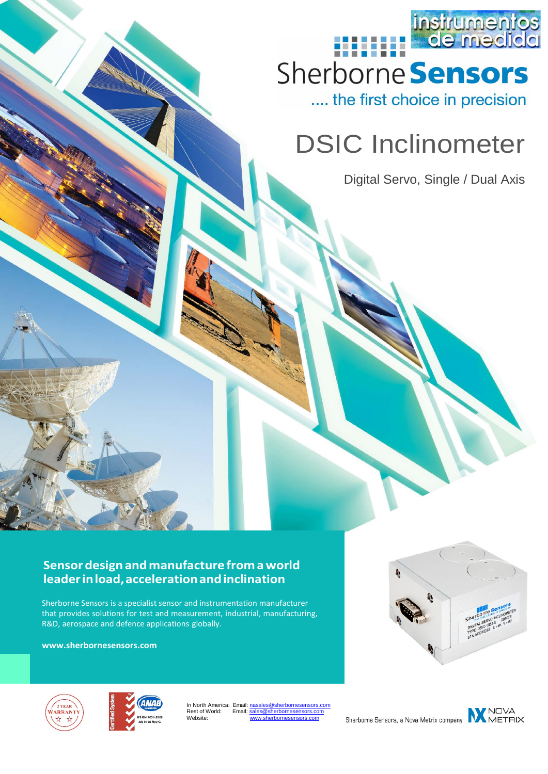

.... the first choice in precision

# DSIC Inclinometer

Digital Servo, Single / Dual Axis

### **Sensordesignandmanufacture from a world leaderinload,accelerationandinclination**

Sherborne Sensors is a specialist sensor and instrumentation manufacturer that provides solutions for test and measurement, industrial, manufacturing, R&D, aerospace and defence applications globally.

**[www.sherbornesensors.com](http://www.sherbornesensors.com/)**







In North America: Email: nas Rest of World: Website: [www.sherbornesensors.com](http://www.sherbornesensors.com/)

Sherborne Sensors, a Nova Metrix company

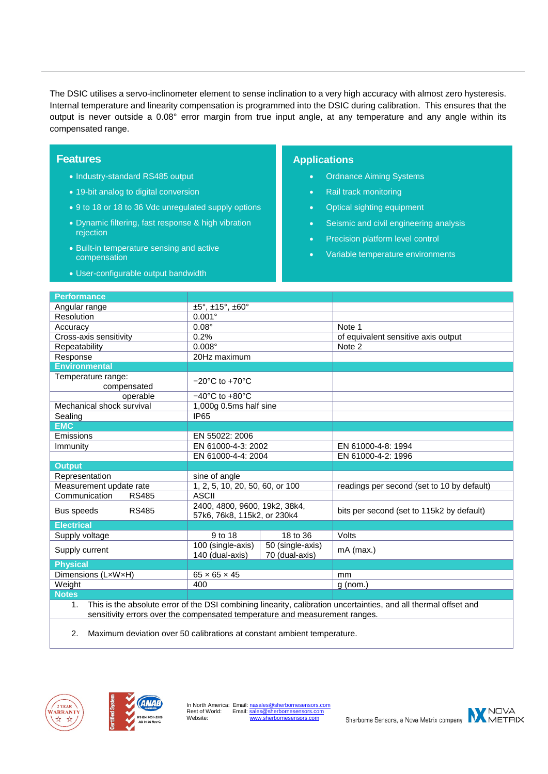The DSIC utilises a servo-inclinometer element to sense inclination to a very high accuracy with almost zero hysteresis. Internal temperature and linearity compensation is programmed into the DSIC during calibration. This ensures that the output is never outside a 0.08° error margin from true input angle, at any temperature and any angle within its compensated range.

#### **Features**

- Industry-standard RS485 output
- 19-bit analog to digital conversion
- 9 to 18 or 18 to 36 Vdc unregulated supply options
- Dynamic filtering, fast response & high vibration rejection
- Built-in temperature sensing and active compensation
- User-configurable output bandwidth

#### **Applications**

- Ordnance Aiming Systems
- Rail track monitoring
- Optical sighting equipment
- Seismic and civil engineering analysis
- Precision platform level control
- Variable temperature environments

| <b>Performance</b>                                                                                                                 |                                                              |                                    |                                            |
|------------------------------------------------------------------------------------------------------------------------------------|--------------------------------------------------------------|------------------------------------|--------------------------------------------|
| Angular range                                                                                                                      | $±5^{\circ}$ , $±15^{\circ}$ , $±60^{\circ}$                 |                                    |                                            |
| Resolution                                                                                                                         | 0.001°                                                       |                                    |                                            |
| Accuracy                                                                                                                           | $0.08^\circ$                                                 |                                    | Note 1                                     |
| Cross-axis sensitivity                                                                                                             | 0.2%                                                         |                                    | of equivalent sensitive axis output        |
| Repeatability                                                                                                                      | $0.008^\circ$                                                |                                    | Note 2                                     |
| Response                                                                                                                           | 20Hz maximum                                                 |                                    |                                            |
| <b>Environmental</b>                                                                                                               |                                                              |                                    |                                            |
| Temperature range:<br>compensated                                                                                                  | $-20^{\circ}$ C to $+70^{\circ}$ C                           |                                    |                                            |
| operable                                                                                                                           | $-40^{\circ}$ C to $+80^{\circ}$ C                           |                                    |                                            |
| Mechanical shock survival                                                                                                          | 1,000g 0.5ms half sine                                       |                                    |                                            |
| Sealing                                                                                                                            | <b>IP65</b>                                                  |                                    |                                            |
| <b>EMC</b>                                                                                                                         |                                                              |                                    |                                            |
| Emissions                                                                                                                          | EN 55022: 2006                                               |                                    |                                            |
| Immunity                                                                                                                           | EN 61000-4-3: 2002                                           |                                    | EN 61000-4-8: 1994                         |
|                                                                                                                                    | EN 61000-4-4: 2004                                           |                                    | EN 61000-4-2: 1996                         |
| <b>Output</b>                                                                                                                      |                                                              |                                    |                                            |
| Representation                                                                                                                     | sine of angle                                                |                                    |                                            |
| Measurement update rate                                                                                                            | 1, 2, 5, 10, 20, 50, 60, or 100                              |                                    | readings per second (set to 10 by default) |
| Communication<br><b>RS485</b>                                                                                                      | <b>ASCII</b>                                                 |                                    |                                            |
| <b>RS485</b><br>Bus speeds                                                                                                         | 2400, 4800, 9600, 19k2, 38k4,<br>57k6, 76k8, 115k2, or 230k4 |                                    | bits per second (set to 115k2 by default)  |
| <b>Electrical</b>                                                                                                                  |                                                              |                                    |                                            |
| Supply voltage                                                                                                                     | 9 to 18                                                      | 18 to 36                           | Volts                                      |
| Supply current                                                                                                                     | 100 (single-axis)<br>140 (dual-axis)                         | 50 (single-axis)<br>70 (dual-axis) | $mA$ (max.)                                |
| <b>Physical</b>                                                                                                                    |                                                              |                                    |                                            |
| Dimensions (LxWxH)                                                                                                                 | $65 \times 65 \times 45$                                     |                                    | mm                                         |
| Weight                                                                                                                             | 400                                                          |                                    | $g$ (nom.)                                 |
| <b>Notes</b>                                                                                                                       |                                                              |                                    |                                            |
| This is the absolute error of the DSI combining linearity, calibration uncertainties, and all thermal offset and<br>1 <sub>1</sub> |                                                              |                                    |                                            |
| sensitivity errors over the compensated temperature and measurement ranges.                                                        |                                                              |                                    |                                            |

2. Maximum deviation over 50 calibrations at constant ambient temperature.





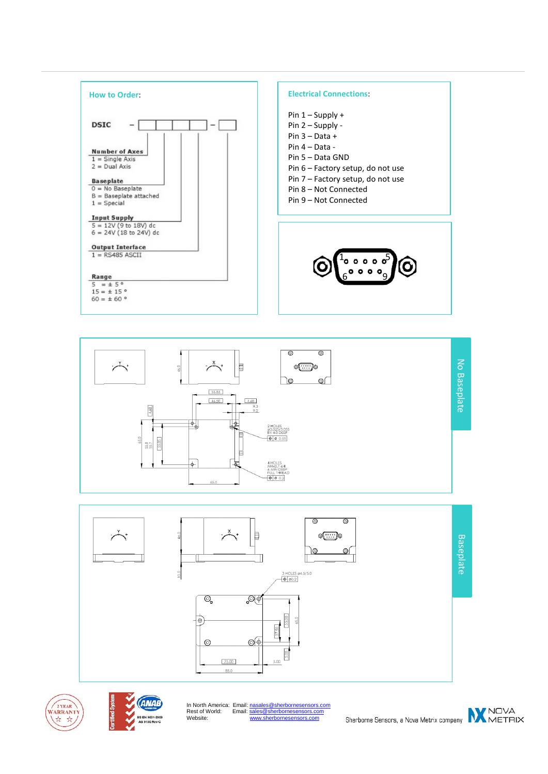









In North America: Email[: nasales@sherbornesensors.com](mailto:nasales@sherbornesensors.com)<br>Rest of World: Email: <u>sales@sherbornesensors.com</u> Rest of World: Email: sales@sherbornesensors.com<br>Website: [www.sherbornesensors.com](http://www.sherbornesensors.com/)